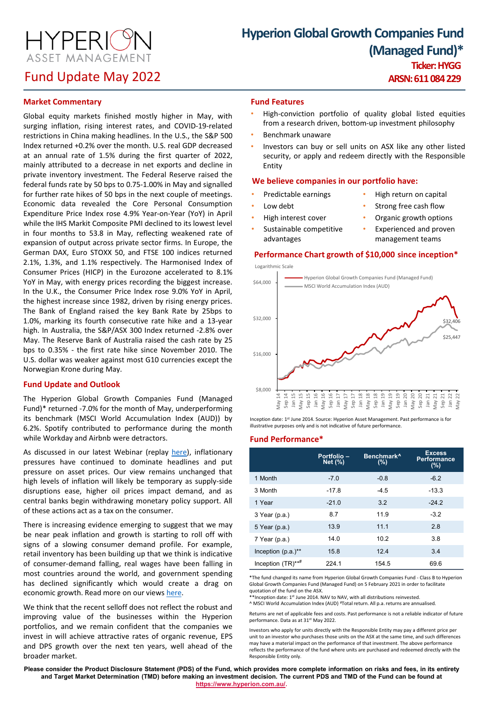**HYPERIO** ASSET MANAGEMENT

# Fund Update May 2022

# **Hyperion Global Growth Companies Fund (Managed Fund)\* Ticker: HYGG**

**ARSN: 611 084 229**

## **Market Commentary**

Global equity markets finished mostly higher in May, with surging inflation, rising interest rates, and COVID-19-related restrictions in China making headlines. In the U.S., the S&P 500 Index returned +0.2% over the month. U.S. real GDP decreased at an annual rate of 1.5% during the first quarter of 2022, mainly attributed to a decrease in net exports and decline in private inventory investment. The Federal Reserve raised the federal funds rate by 50 bps to 0.75-1.00% in May and signalled for further rate hikes of 50 bps in the next couple of meetings. Economic data revealed the Core Personal Consumption Expenditure Price Index rose 4.9% Year-on-Year (YoY) in April while the IHS Markit Composite PMI declined to its lowest level in four months to 53.8 in May, reflecting weakened rate of expansion of output across private sector firms. In Europe, the German DAX, Euro STOXX 50, and FTSE 100 indices returned 2.1%, 1.3%, and 1.1% respectively. The Harmonised Index of Consumer Prices (HICP) in the Eurozone accelerated to 8.1% YoY in May, with energy prices recording the biggest increase. In the U.K., the Consumer Price Index rose 9.0% YoY in April, the highest increase since 1982, driven by rising energy prices. The Bank of England raised the key Bank Rate by 25bps to 1.0%, marking its fourth consecutive rate hike and a 13-year high. In Australia, the S&P/ASX 300 Index returned -2.8% over May. The Reserve Bank of Australia raised the cash rate by 25 bps to 0.35% - the first rate hike since November 2010. The U.S. dollar was weaker against most G10 currencies except the Norwegian Krone during May.

## **Fund Update and Outlook**

The Hyperion Global Growth Companies Fund (Managed Fund)\* returned -7.0% for the month of May, underperforming its benchmark (MSCI World Accumulation Index (AUD)) by 6.2%. Spotify contributed to performance during the month while Workday and Airbnb were detractors.

As discussed in our latest Webinar (replay [here](https://www.hyperion.com.au/landing-pages/registration-page-webinar-and-live-qa-pricing-power-macro-and-short-termism/)), inflationary pressures have continued to dominate headlines and put pressure on asset prices. Our view remains unchanged that high levels of inflation will likely be temporary as supply-side disruptions ease, higher oil prices impact demand, and as central banks begin withdrawing monetary policy support. All of these actions act as a tax on the consumer.

There is increasing evidence emerging to suggest that we may be near peak inflation and growth is starting to roll off with signs of a slowing consumer demand profile. For example, retail inventory has been building up that we think is indicative of consumer-demand falling, real wages have been falling in most countries around the world, and government spending has declined significantly which would create a drag on economic growth. Read more on our views [here](https://www.hyperion.com.au/news/macro-vs-fundamentals-impact-of-rising-interest-rates-on-long-term-earnings/).

We think that the recent selloff does not reflect the robust and improving value of the businesses within the Hyperion portfolios, and we remain confident that the companies we invest in will achieve attractive rates of organic revenue, EPS and DPS growth over the next ten years, well ahead of the broader market.

## **Fund Features**

- High-conviction portfolio of quality global listed equities from a research driven, bottom-up investment philosophy
- Benchmark unaware
- Investors can buy or sell units on ASX like any other listed security, or apply and redeem directly with the Responsible Entity

## **We believe companies in our portfolio have:**

• Predictable earnings

• High interest cover Sustainable competitive

- High return on capital
- Low debt

advantages

- Strong free cash flow
- Organic growth options
- Experienced and proven
- management teams

### **Performance Chart growth of \$10,000 since inception\***



Inception date: 1st June 2014. Source: Hyperion Asset Management. Past performance is for illustrative purposes only and is not indicative of future performance.

#### **Fund Performance\***

|                                  | Portfolio -<br>Net (%) | Benchmark <sup>^</sup><br>(%) | <b>Excess</b><br><b>Performance</b><br>(%) |
|----------------------------------|------------------------|-------------------------------|--------------------------------------------|
| 1 Month                          | $-7.0$                 | $-0.8$                        | $-6.2$                                     |
| 3 Month                          | $-17.8$                | $-4.5$                        | $-13.3$                                    |
| 1 Year                           | $-21.0$                | 3.2                           | $-24.2$                                    |
| 3 Year (p.a.)                    | 8.7                    | 11.9                          | $-3.2$                                     |
| 5 Year (p.a.)                    | 13.9                   | 11.1                          | 2.8                                        |
| 7 Year (p.a.)                    | 14.0                   | 10.2                          | 3.8                                        |
| Inception $(p.a.)^{\star\star}$  | 15.8                   | 12.4                          | 3.4                                        |
| Inception $(TR)$ ** <sup>#</sup> | 224.1                  | 154.5                         | 69.6                                       |

\*The fund changed its name from Hyperion Global Growth Companies Fund - Class B to Hyperion Global Growth Companies Fund (Managed Fund) on 5 February 2021 in order to facilitate quotation of the fund on the ASX.

\*\*Inception date: 1st June 2014. NAV to NAV, with all distributions reinvested.

^ MSCI World Accumulation Index (AUD) #Totalreturn. All p.a.returns are annualised.

Returns are net of applicable fees and costs. Past performance is not a reliable indicator of future performance. Data as at 31<sup>st</sup> May 2022.

Investors who apply for units directly with the Responsible Entity may pay a different price per unit to an investor who purchases those units on the ASX at the same time, and such differences may have a material impact on the performance of that investment. The above performance reflects the performance of the fund where units are purchased and redeemed directly with the Responsible Entity only.

**Please consider the Product Disclosure Statement (PDS) of the Fund, which provides more complete information on risks and fees, in its entirety and Target Market Determination (TMD) before making an investment decision. The current PDS and TMD of the Fund can be found at [https://www.hyperion.com.au/.](https://www.hyperion.com.au/)**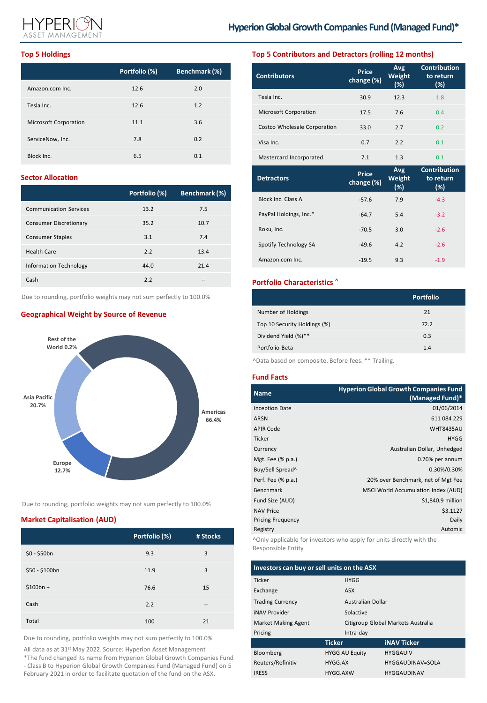

### **Top 5 Holdings**

|                       | Portfolio (%) | Benchmark (%) |
|-----------------------|---------------|---------------|
| Amazon.com Inc.       | 12.6          | 2.0           |
| Tesla Inc.            | 12.6          | 1.2           |
| Microsoft Corporation | 11.1          | 3.6           |
| ServiceNow, Inc.      | 7.8           | 0.2           |
| Block Inc.            | 6.5           | 0.1           |

## **Sector Allocation**

|                               | Portfolio (%) | Benchmark (%) |
|-------------------------------|---------------|---------------|
| <b>Communication Services</b> | 13.2          | 7.5           |
| Consumer Discretionary        | 35.2          | 10.7          |
| <b>Consumer Staples</b>       | 3.1           | 7.4           |
| <b>Health Care</b>            | 2.2           | 13.4          |
| Information Technology        | 44.0          | 21.4          |
| Cash                          | 2.2           |               |

Due to rounding, portfolio weights may not sum perfectly to 100.0%

## **Geographical Weight by Source of Revenue**



Due to rounding, portfolio weights may not sum perfectly to 100.0%

## **Market Capitalisation (AUD)**

|                | Portfolio (%) | # Stocks |
|----------------|---------------|----------|
| $$0 - $50bn$   | 9.3           | 3        |
| \$50 - \$100bn | 11.9          | 3        |
| $$100bn +$     | 76.6          | 15       |
| Cash           | 2.2           | --       |
| Total          | 100           | 21       |

Due to rounding, portfolio weights may not sum perfectly to 100.0%

All data as at 31<sup>st</sup> May 2022. Source: Hyperion Asset Management

\*The fund changed its name from Hyperion Global Growth Companies Fund - Class B to Hyperion Global Growth Companies Fund (Managed Fund) on 5 February 2021 in order to facilitate quotation of the fund on the ASX.

## **Top 5 Contributors and Detractors (rolling 12 months)**

| <b>Contributors</b>          | Price<br>change (%)        | Avg<br>Weight<br>(%) | <b>Contribution</b><br>to return<br>$(\%)$ |
|------------------------------|----------------------------|----------------------|--------------------------------------------|
| Tesla Inc.                   | 30.9                       | 12.3                 | 1.8                                        |
| Microsoft Corporation        | 17.5                       | 7.6                  | 0.4                                        |
| Costco Wholesale Corporation | 33.0                       | 2.7                  | 0.2                                        |
| Visa Inc.                    | 0.7                        | 2.2                  | 0.1                                        |
| Mastercard Incorporated      | 7.1                        | 1.3                  | 0.1                                        |
|                              |                            |                      |                                            |
| <b>Detractors</b>            | <b>Price</b><br>change (%) | Avg<br>Weight<br>(%) | <b>Contribution</b><br>to return<br>$(\%)$ |
| Block Inc. Class A           | $-57.6$                    | 7.9                  | $-4.3$                                     |
| PayPal Holdings, Inc.*       | $-64.7$                    | 5.4                  | $-3.2$                                     |
| Roku, Inc.                   | $-70.5$                    | 3.0                  | $-2.6$                                     |
| Spotify Technology SA        | $-49.6$                    | 4.2                  | $-2.6$                                     |

## **Portfolio Characteristics ^**

|                              | <b>Portfolio</b> |
|------------------------------|------------------|
| Number of Holdings           | 21               |
| Top 10 Security Holdings (%) | 72.2             |
| Dividend Yield (%)**         | 0.3              |
| Portfolio Beta               | 1.4              |
|                              |                  |

^Data based on composite. Before fees. \*\* Trailing.

## **Fund Facts**

| <b>Name</b>           | <b>Hyperion Global Growth Companies Fund</b><br>(Managed Fund)* |
|-----------------------|-----------------------------------------------------------------|
| <b>Inception Date</b> | 01/06/2014                                                      |
| <b>ARSN</b>           | 611 084 229                                                     |
| <b>APIR Code</b>      | <b>WHT8435AU</b>                                                |
| Ticker                | <b>HYGG</b>                                                     |
| Currency              | Australian Dollar, Unhedged                                     |
| Mgt. Fee (% p.a.)     | 0.70% per annum                                                 |
| Buy/Sell Spread^      | 0.30%/0.30%                                                     |
| Perf. Fee (% p.a.)    | 20% over Benchmark, net of Mgt Fee                              |
| <b>Benchmark</b>      | MSCI World Accumulation Index (AUD)                             |
| Fund Size (AUD)       | \$1,840.9 million                                               |
| <b>NAV Price</b>      | \$3.1127                                                        |
| Pricing Frequency     | Daily                                                           |
| Registry              | Automic                                                         |
|                       |                                                                 |

^Only applicable for investors who apply for units directly with the Responsible Entity

| Investors can buy or sell units on the ASX |               |                                    |                    |
|--------------------------------------------|---------------|------------------------------------|--------------------|
| Ticker                                     |               | <b>HYGG</b>                        |                    |
| Exchange                                   |               | <b>ASX</b>                         |                    |
| <b>Trading Currency</b>                    |               | Australian Dollar                  |                    |
| <b>iNAV Provider</b>                       | Solactive     |                                    |                    |
| <b>Market Making Agent</b>                 |               | Citigroup Global Markets Australia |                    |
| Pricing                                    | Intra-day     |                                    |                    |
|                                            | <b>Ticker</b> |                                    | <b>iNAV Ticker</b> |
| Bloomberg                                  |               | <b>HYGG AU Equity</b>              | <b>HYGGAUIV</b>    |
| Reuters/Refinitiv                          | HYGG AX       |                                    | HYGGAUDINAV=SOLA   |
| <b>IRESS</b>                               | HYGG.AXW      |                                    | <b>HYGGAUDINAV</b> |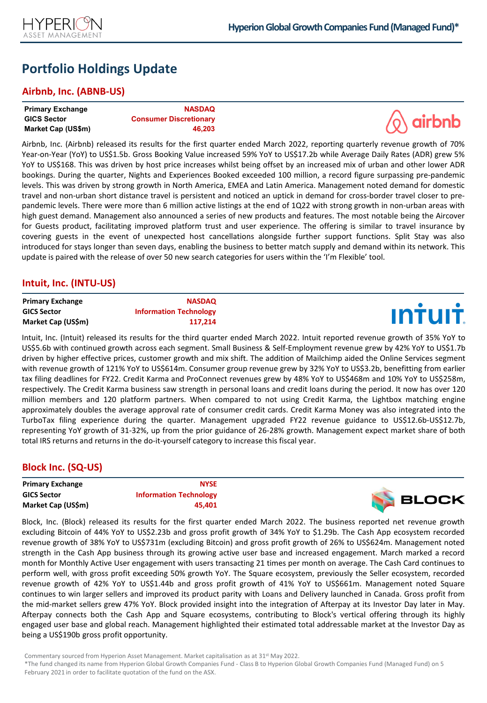

# **Portfolio Holdings Update**

## **Airbnb, Inc. (ABNB-US)**

| <b>Primary Exchange</b> | <b>NASDAQ</b>                 |                   |
|-------------------------|-------------------------------|-------------------|
| <b>GICS Sector</b>      | <b>Consumer Discretionary</b> | $\sqrt{Q}$ airbnb |
| Market Cap (US\$m)      | 46.203                        |                   |

Airbnb, Inc. (Airbnb) released its results for the first quarter ended March 2022, reporting quarterly revenue growth of 70% Year-on-Year (YoY) to US\$1.5b. Gross Booking Value increased 59% YoY to US\$17.2b while Average Daily Rates (ADR) grew 5% YoY to US\$168. This was driven by host price increases whilst being offset by an increased mix of urban and other lower ADR bookings. During the quarter, Nights and Experiences Booked exceeded 100 million, a record figure surpassing pre-pandemic levels. This was driven by strong growth in North America, EMEA and Latin America. Management noted demand for domestic travel and non-urban short distance travel is persistent and noticed an uptick in demand for cross-border travel closer to prepandemic levels. There were more than 6 million active listings at the end of 1Q22 with strong growth in non-urban areas with high guest demand. Management also announced a series of new products and features. The most notable being the Aircover for Guests product, facilitating improved platform trust and user experience. The offering is similar to travel insurance by covering guests in the event of unexpected host cancellations alongside further support functions. Split Stay was also introduced for stays longer than seven days, enabling the business to better match supply and demand within its network. This update is paired with the release of over 50 new search categories for users within the 'I'm Flexible' tool.

## **Intuit, Inc. (INTU-US)**

| <b>Primary Exchange</b> | <b>NASDAQ</b>                 |                |
|-------------------------|-------------------------------|----------------|
| <b>GICS Sector</b>      | <b>Information Technology</b> | <b>INTUIT.</b> |
| Market Cap (US\$m)      | 117.214                       |                |

Intuit, Inc. (Intuit) released its results for the third quarter ended March 2022. Intuit reported revenue growth of 35% YoY to US\$5.6b with continued growth across each segment. Small Business & Self-Employment revenue grew by 42% YoY to US\$1.7b driven by higher effective prices, customer growth and mix shift. The addition of Mailchimp aided the Online Services segment with revenue growth of 121% YoY to US\$614m. Consumer group revenue grew by 32% YoY to US\$3.2b, benefitting from earlier tax filing deadlines for FY22. Credit Karma and ProConnect revenues grew by 48% YoY to US\$468m and 10% YoY to US\$258m, respectively. The Credit Karma business saw strength in personal loans and credit loans during the period. It now has over 120 million members and 120 platform partners. When compared to not using Credit Karma, the Lightbox matching engine approximately doubles the average approval rate of consumer credit cards. Credit Karma Money was also integrated into the TurboTax filing experience during the quarter. Management upgraded FY22 revenue guidance to US\$12.6b-US\$12.7b, representing YoY growth of 31-32%, up from the prior guidance of 26-28% growth. Management expect market share of both total IRS returns and returns in the do-it-yourself category to increase this fiscal year.

## **Block Inc. (SQ-US)**

| <b>Primary Exchange</b> | <b>NYSE</b>                   |              |
|-------------------------|-------------------------------|--------------|
| <b>GICS Sector</b>      | <b>Information Technology</b> | <b>BLOCK</b> |
| Market Cap (US\$m)      | 45.401                        |              |

Block, Inc. (Block) released its results for the first quarter ended March 2022. The business reported net revenue growth excluding Bitcoin of 44% YoY to US\$2.23b and gross profit growth of 34% YoY to \$1.29b. The Cash App ecosystem recorded revenue growth of 38% YoY to US\$731m (excluding Bitcoin) and gross profit growth of 26% to US\$624m. Management noted strength in the Cash App business through its growing active user base and increased engagement. March marked a record month for Monthly Active User engagement with users transacting 21 times per month on average. The Cash Card continues to perform well, with gross profit exceeding 50% growth YoY. The Square ecosystem, previously the Seller ecosystem, recorded revenue growth of 42% YoY to US\$1.44b and gross profit growth of 41% YoY to US\$661m. Management noted Square continues to win larger sellers and improved its product parity with Loans and Delivery launched in Canada. Gross profit from the mid-market sellers grew 47% YoY. Block provided insight into the integration of Afterpay at its Investor Day later in May. Afterpay connects both the Cash App and Square ecosystems, contributing to Block's vertical offering through its highly engaged user base and global reach. Management highlighted their estimated total addressable market at the Investor Day as being a US\$190b gross profit opportunity.

Commentary sourced from Hyperion Asset Management. Market capitalisation as at 31<sup>st</sup> May 2022.

<sup>\*</sup>The fund changed its name from Hyperion Global Growth Companies Fund - Class B to Hyperion Global Growth Companies Fund (Managed Fund) on 5 February 2021 in order to facilitate quotation of the fund on the ASX.